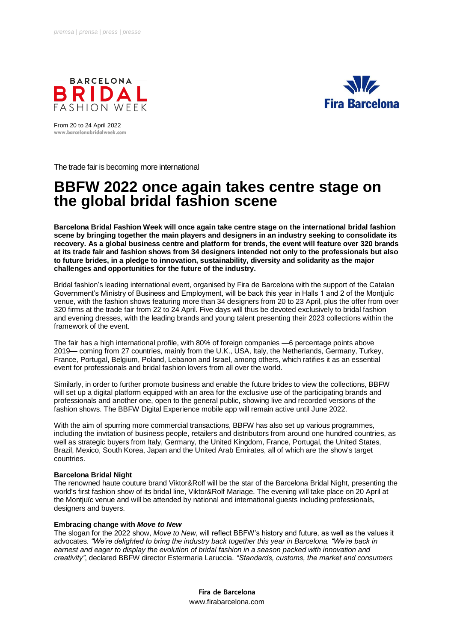



From 20 to 24 April 2022 **www.barcelonabridalweek.com**

The trade fair is becoming more international

## **BBFW 2022 once again takes centre stage on the global bridal fashion scene**

**Barcelona Bridal Fashion Week will once again take centre stage on the international bridal fashion scene by bringing together the main players and designers in an industry seeking to consolidate its recovery. As a global business centre and platform for trends, the event will feature over 320 brands at its trade fair and fashion shows from 34 designers intended not only to the professionals but also to future brides, in a pledge to innovation, sustainability, diversity and solidarity as the major challenges and opportunities for the future of the industry.**

Bridal fashion's leading international event, organised by Fira de Barcelona with the support of the Catalan Government's Ministry of Business and Employment, will be back this year in Halls 1 and 2 of the Montjuïc venue, with the fashion shows featuring more than 34 designers from 20 to 23 April, plus the offer from over 320 firms at the trade fair from 22 to 24 April. Five days will thus be devoted exclusively to bridal fashion and evening dresses, with the leading brands and young talent presenting their 2023 collections within the framework of the event.

The fair has a high international profile, with 80% of foreign companies —6 percentage points above 2019— coming from 27 countries, mainly from the U.K., USA, Italy, the Netherlands, Germany, Turkey, France, Portugal, Belgium, Poland, Lebanon and Israel, among others, which ratifies it as an essential event for professionals and bridal fashion lovers from all over the world.

Similarly, in order to further promote business and enable the future brides to view the collections, BBFW will set up a digital platform equipped with an area for the exclusive use of the participating brands and professionals and another one, open to the general public, showing live and recorded versions of the fashion shows. The BBFW Digital Experience mobile app will remain active until June 2022.

With the aim of spurring more commercial transactions, BBFW has also set up various programmes, including the invitation of business people, retailers and distributors from around one hundred countries, as well as strategic buyers from Italy, Germany, the United Kingdom, France, Portugal, the United States, Brazil, Mexico, South Korea, Japan and the United Arab Emirates, all of which are the show's target countries.

## **Barcelona Bridal Night**

The renowned haute couture brand Viktor&Rolf will be the star of the Barcelona Bridal Night, presenting the world's first fashion show of its bridal line, Viktor&Rolf Mariage. The evening will take place on 20 April at the Montjuïc venue and will be attended by national and international guests including professionals, designers and buyers.

## **Embracing change with** *Move to New*

The slogan for the 2022 show, *Move to New*, will reflect BBFW's history and future, as well as the values it advocates. *"We're delighted to bring the industry back together this year in Barcelona. "We're back in earnest and eager to display the evolution of bridal fashion in a season packed with innovation and creativity"*, declared BBFW director Estermaria Laruccia. *"Standards, customs, the market and consumers* 

> **Fira de Barcelona** www.firabarcelona.com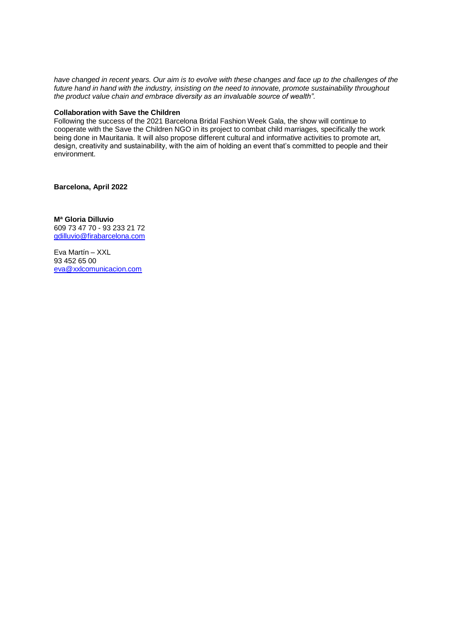*have changed in recent years. Our aim is to evolve with these changes and face up to the challenges of the future hand in hand with the industry, insisting on the need to innovate, promote sustainability throughout the product value chain and embrace diversity as an invaluable source of wealth"*.

#### **Collaboration with Save the Children**

Following the success of the 2021 Barcelona Bridal Fashion Week Gala, the show will continue to cooperate with the Save the Children NGO in its project to combat child marriages, specifically the work being done in Mauritania. It will also propose different cultural and informative activities to promote art, design, creativity and sustainability, with the aim of holding an event that's committed to people and their environment.

**Barcelona, April 2022** 

**Mª Gloria Dilluvio**

609 73 47 70 - 93 233 21 72 [gdilluvio@firabarcelona.com](mailto:gdilluvio@firabarcelona.com)

Eva Martín – XXL 93 452 65 00 [eva@xxlcomunicacion.com](mailto:eva@xxlcomunicacion.com)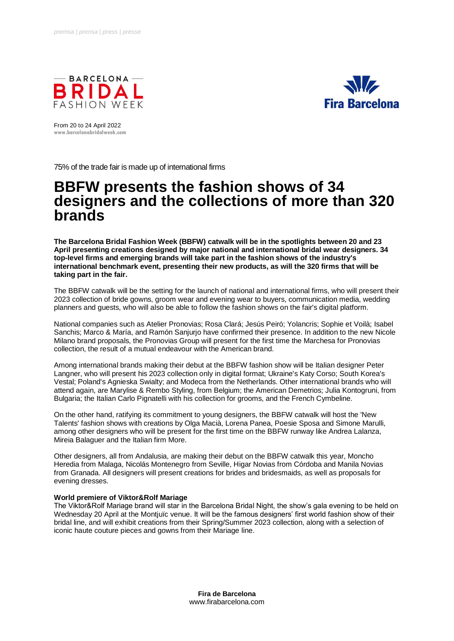



From 20 to 24 April 2022 **www.barcelonabridalweek.com**

75% of the trade fair is made up of international firms

## **BBFW presents the fashion shows of 34 designers and the collections of more than 320 brands**

**The Barcelona Bridal Fashion Week (BBFW) catwalk will be in the spotlights between 20 and 23 April presenting creations designed by major national and international bridal wear designers. 34 top-level firms and emerging brands will take part in the fashion shows of the industry's international benchmark event, presenting their new products, as will the 320 firms that will be taking part in the fair.**

The BBFW catwalk will be the setting for the launch of national and international firms, who will present their 2023 collection of bride gowns, groom wear and evening wear to buyers, communication media, wedding planners and guests, who will also be able to follow the fashion shows on the fair's digital platform.

National companies such as Atelier Pronovias; Rosa Clará; Jesús Peiró; Yolancris; Sophie et Voilà; Isabel Sanchis; Marco & María, and Ramón Sanjurjo have confirmed their presence. In addition to the new Nicole Milano brand proposals, the Pronovias Group will present for the first time the Marchesa for Pronovias collection, the result of a mutual endeavour with the American brand.

Among international brands making their debut at the BBFW fashion show will be Italian designer Peter Langner, who will present his 2023 collection only in digital format; Ukraine's Katy Corso; South Korea's Vestal; Poland's Agnieska Swialty; and Modeca from the Netherlands. Other international brands who will attend again, are Marylise & Rembo Styling, from Belgium; the American Demetrios; Julia Kontogruni, from Bulgaria; the Italian Carlo Pignatelli with his collection for grooms, and the French Cymbeline.

On the other hand, ratifying its commitment to young designers, the BBFW catwalk will host the 'New Talents' fashion shows with creations by Olga Macià, Lorena Panea, Poesie Sposa and Simone Marulli, among other designers who will be present for the first time on the BBFW runway like Andrea Lalanza, Mireia Balaguer and the Italian firm More.

Other designers, all from Andalusia, are making their debut on the BBFW catwalk this year, Moncho Heredia from Malaga, Nicolás Montenegro from Seville, Higar Novias from Córdoba and Manila Novias from Granada. All designers will present creations for brides and bridesmaids, as well as proposals for evening dresses.

## **World premiere of Viktor&Rolf Mariage**

The Viktor&Rolf Mariage brand will star in the Barcelona Bridal Night, the show's gala evening to be held on Wednesday 20 April at the Montjuïc venue. It will be the famous designers' first world fashion show of their bridal line, and will exhibit creations from their Spring/Summer 2023 collection, along with a selection of iconic haute couture pieces and gowns from their Mariage line.

> **Fira de Barcelona** www.firabarcelona.com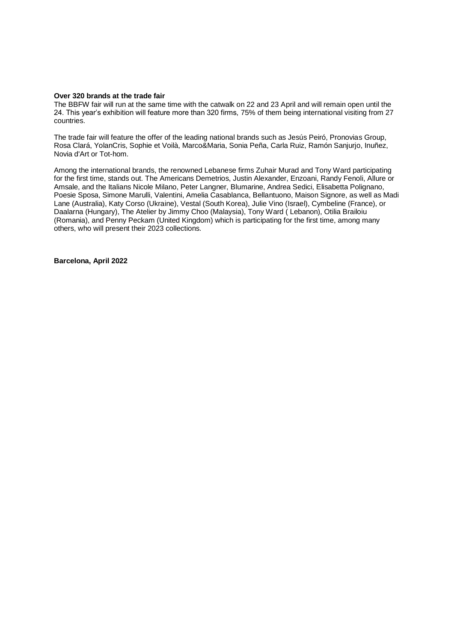#### **Over 320 brands at the trade fair**

The BBFW fair will run at the same time with the catwalk on 22 and 23 April and will remain open until the 24. This year's exhibition will feature more than 320 firms, 75% of them being international visiting from 27 countries.

The trade fair will feature the offer of the leading national brands such as Jesús Peiró, Pronovias Group, Rosa Clará, YolanCris, Sophie et Voilà, Marco&Maria, Sonia Peña, Carla Ruiz, Ramón Sanjurjo, Inuñez, Novia d'Art or Tot-hom.

Among the international brands, the renowned Lebanese firms Zuhair Murad and Tony Ward participating for the first time, stands out. The Americans Demetrios, Justin Alexander, Enzoani, Randy Fenoli, Allure or Amsale, and the Italians Nicole Milano, Peter Langner, Blumarine, Andrea Sedici, Elisabetta Polignano, Poesie Sposa, Simone Marulli, Valentini, Amelia Casablanca, Bellantuono, Maison Signore, as well as Madi Lane (Australia), Katy Corso (Ukraine), Vestal (South Korea), Julie Vino (Israel), Cymbeline (France), or Daalarna (Hungary), The Atelier by Jimmy Choo (Malaysia), Tony Ward ( Lebanon), Otilia Brailoiu (Romania), and Penny Peckam (United Kingdom) which is participating for the first time, among many others, who will present their 2023 collections.

**Barcelona, April 2022**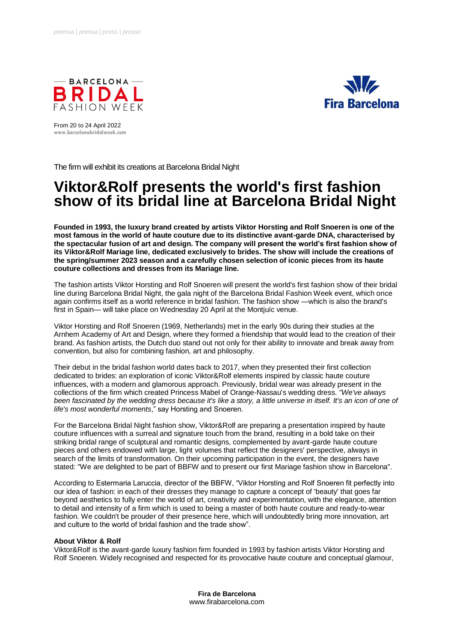



From 20 to 24 April 2022 **www.barcelonabridalweek.com**

The firm will exhibit its creations at Barcelona Bridal Night

# **Viktor&Rolf presents the world's first fashion show of its bridal line at Barcelona Bridal Night**

**Founded in 1993, the luxury brand created by artists Viktor Horsting and Rolf Snoeren is one of the most famous in the world of haute couture due to its distinctive avant-garde DNA, characterised by the spectacular fusion of art and design. The company will present the world's first fashion show of its Viktor&Rolf Mariage line, dedicated exclusively to brides. The show will include the creations of the spring/summer 2023 season and a carefully chosen selection of iconic pieces from its haute couture collections and dresses from its Mariage line.**

The fashion artists Viktor Horsting and Rolf Snoeren will present the world's first fashion show of their bridal line during Barcelona Bridal Night, the gala night of the Barcelona Bridal Fashion Week event, which once again confirms itself as a world reference in bridal fashion. The fashion show —which is also the brand's first in Spain— will take place on Wednesday 20 April at the Montjuïc venue.

Viktor Horsting and Rolf Snoeren (1969, Netherlands) met in the early 90s during their studies at the Arnhem Academy of Art and Design, where they formed a friendship that would lead to the creation of their brand. As fashion artists, the Dutch duo stand out not only for their ability to innovate and break away from convention, but also for combining fashion, art and philosophy.

Their debut in the bridal fashion world dates back to 2017, when they presented their first collection dedicated to brides: an exploration of iconic Viktor&Rolf elements inspired by classic haute couture influences, with a modern and glamorous approach. Previously, bridal wear was already present in the collections of the firm which created Princess Mabel of Orange-Nassau's wedding dress. *"We've always been fascinated by the wedding dress because it's like a story, a little universe in itself. It's an icon of one of life's most wonderful moments*," say Horsting and Snoeren.

For the Barcelona Bridal Night fashion show, Viktor&Rolf are preparing a presentation inspired by haute couture influences with a surreal and signature touch from the brand, resulting in a bold take on their striking bridal range of sculptural and romantic designs, complemented by avant-garde haute couture pieces and others endowed with large, light volumes that reflect the designers' perspective, always in search of the limits of transformation. On their upcoming participation in the event, the designers have stated: "We are delighted to be part of BBFW and to present our first Mariage fashion show in Barcelona".

According to Estermaria Laruccia, director of the BBFW, "Viktor Horsting and Rolf Snoeren fit perfectly into our idea of fashion: in each of their dresses they manage to capture a concept of 'beauty' that goes far beyond aesthetics to fully enter the world of art, creativity and experimentation, with the elegance, attention to detail and intensity of a firm which is used to being a master of both haute couture and ready-to-wear fashion. We couldn't be prouder of their presence here, which will undoubtedly bring more innovation, art and culture to the world of bridal fashion and the trade show".

## **About Viktor & Rolf**

Viktor&Rolf is the avant-garde luxury fashion firm founded in 1993 by fashion artists Viktor Horsting and Rolf Snoeren. Widely recognised and respected for its provocative haute couture and conceptual glamour,

> **Fira de Barcelona** www.firabarcelona.com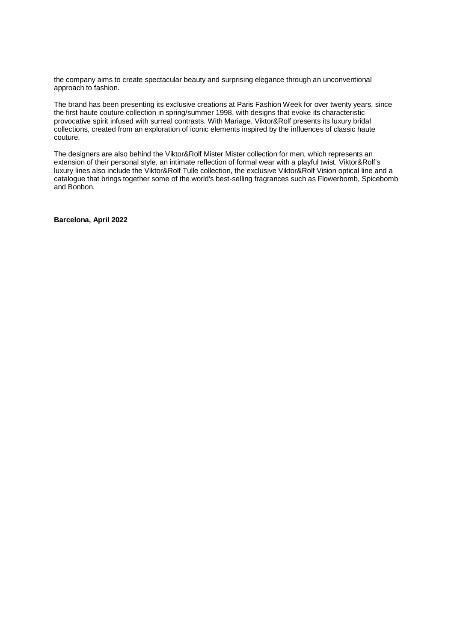the company aims to create spectacular beauty and surprising elegance through an unconventional approach to fashion.

The brand has been presenting its exclusive creations at Paris Fashion Week for over twenty years, since the first haute couture collection in spring/summer 1998, with designs that evoke its characteristic provocative spirit infused with surreal contrasts. With Mariage, Viktor&Rolf presents its luxury bridal collections, created from an exploration of iconic elements inspired by the influences of classic haute couture.

The designers are also behind the Viktor&Rolf Mister Mister collection for men, which represents an extension of their personal style, an intimate reflection of formal wear with a playful twist. Viktor&Rolf's luxury lines also include the Viktor&Rolf Tulle collection, the exclusive Viktor&Rolf Vision optical line and a catalogue that brings together some of the world's best-selling fragrances such as Flowerbomb, Spicebomb and Bonbon.

**Barcelona, April 2022**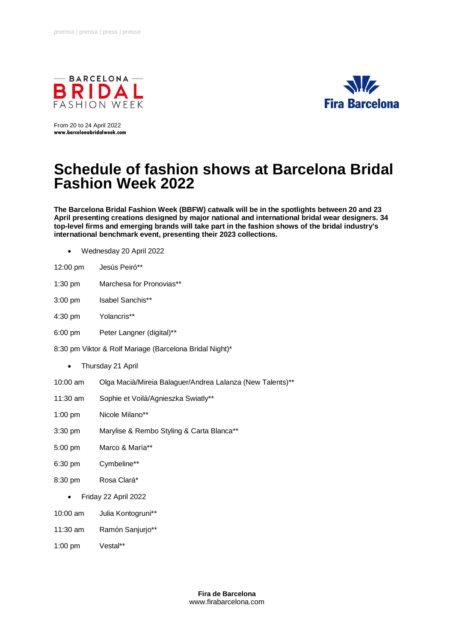



From 20 to 24 April 2022 **www.barcelonabridalweek.com**

# **Schedule of fashion shows at Barcelona Bridal Fashion Week 2022**

**The Barcelona Bridal Fashion Week (BBFW) catwalk will be in the spotlights between 20 and 23 April presenting creations designed by major national and international bridal wear designers. 34 top-level firms and emerging brands will take part in the fashion shows of the bridal industry's international benchmark event, presenting their 2023 collections.** 

- Wednesday 20 April 2022
- 12:00 pm Jesús Peiró\*\*
- 1:30 pm Marchesa for Pronovias\*\*
- 3:00 pm Isabel Sanchis\*\*
- 4:30 pm Yolancris\*\*
- 6:00 pm Peter Langner (digital)\*\*
- 8:30 pm Viktor & Rolf Mariage (Barcelona Bridal Night)\*
	- Thursday 21 April
- 10:00 am Olga Macià/Mireia Balaguer/Andrea Lalanza (New Talents)\*\*
- 11:30 am Sophie et Voilà/Agnieszka Swiatly\*\*
- 1:00 pm Nicole Milano\*\*
- 3:30 pm Marylise & Rembo Styling & Carta Blanca\*\*
- 5:00 pm Marco & María\*\*
- 6:30 pm Cymbeline\*\*
- 8:30 pm Rosa Clará\*
	- Friday 22 April 2022
- 10:00 am Julia Kontogruni\*\*
- 11:30 am Ramón Sanjurjo\*\*
- 1:00 pm Vestal\*\*